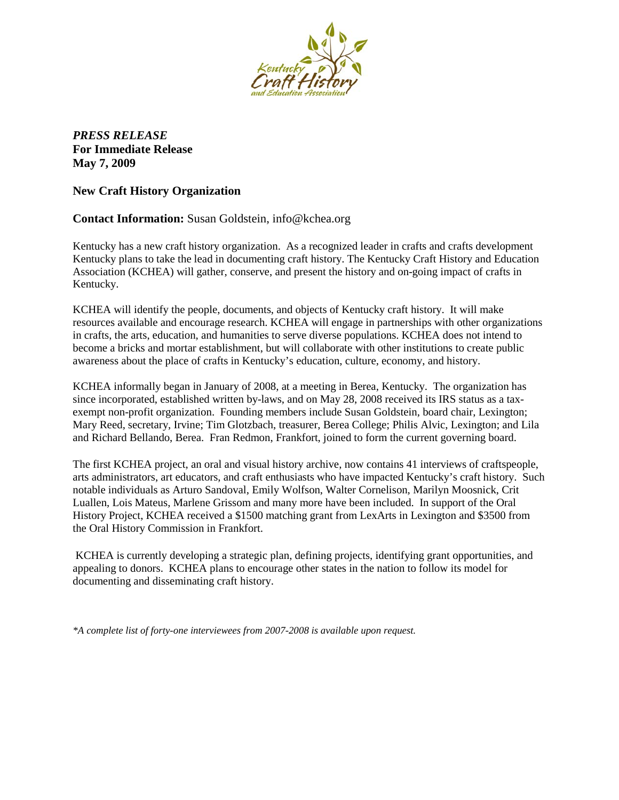

*PRESS RELEASE* **For Immediate Release May 7, 2009**

**New Craft History Organization**

**Contact Information:** Susan Goldstein, info@kchea.org

Kentucky has a new craft history organization. As a recognized leader in crafts and crafts development Kentucky plans to take the lead in documenting craft history. The Kentucky Craft History and Education Association (KCHEA) will gather, conserve, and present the history and on-going impact of crafts in Kentucky.

KCHEA will identify the people, documents, and objects of Kentucky craft history. It will make resources available and encourage research. KCHEA will engage in partnerships with other organizations in crafts, the arts, education, and humanities to serve diverse populations. KCHEA does not intend to become a bricks and mortar establishment, but will collaborate with other institutions to create public awareness about the place of crafts in Kentucky's education, culture, economy, and history.

KCHEA informally began in January of 2008, at a meeting in Berea, Kentucky. The organization has since incorporated, established written by-laws, and on May 28, 2008 received its IRS status as a taxexempt non-profit organization. Founding members include Susan Goldstein, board chair, Lexington; Mary Reed, secretary, Irvine; Tim Glotzbach, treasurer, Berea College; Philis Alvic, Lexington; and Lila and Richard Bellando, Berea. Fran Redmon, Frankfort, joined to form the current governing board.

The first KCHEA project, an oral and visual history archive, now contains 41 interviews of craftspeople, arts administrators, art educators, and craft enthusiasts who have impacted Kentucky's craft history. Such notable individuals as Arturo Sandoval, Emily Wolfson, Walter Cornelison, Marilyn Moosnick, Crit Luallen, Lois Mateus, Marlene Grissom and many more have been included. In support of the Oral History Project, KCHEA received a \$1500 matching grant from LexArts in Lexington and \$3500 from the Oral History Commission in Frankfort.

KCHEA is currently developing a strategic plan, defining projects, identifying grant opportunities, and appealing to donors. KCHEA plans to encourage other states in the nation to follow its model for documenting and disseminating craft history.

*\*A complete list of forty-one interviewees from 2007-2008 is available upon request.*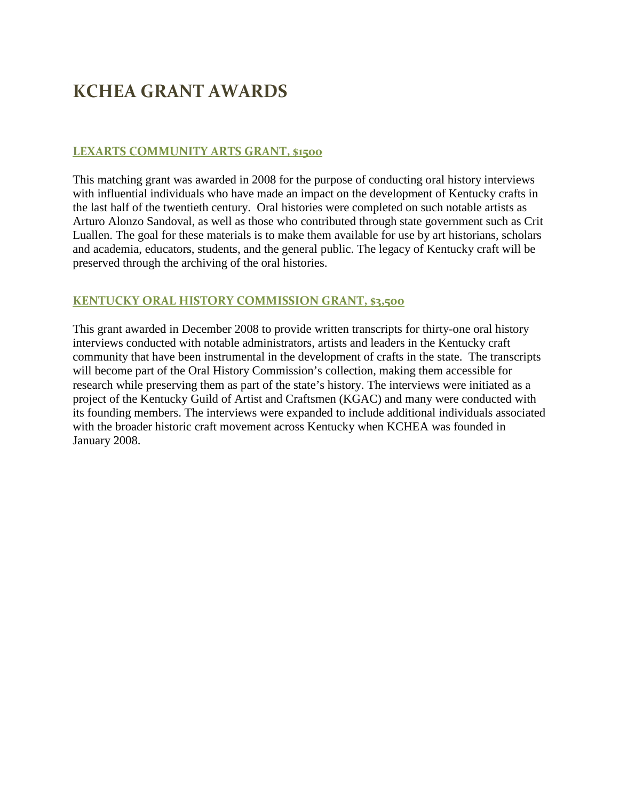# **KCHEA GRANT AWARDS**

## **LEXARTS COMMUNITY ARTS GRANT, \$1500**

This matching grant was awarded in 2008 for the purpose of conducting oral history interviews with influential individuals who have made an impact on the development of Kentucky crafts in the last half of the twentieth century. Oral histories were completed on such notable artists as Arturo Alonzo Sandoval, as well as those who contributed through state government such as Crit Luallen. The goal for these materials is to make them available for use by art historians, scholars and academia, educators, students, and the general public. The legacy of Kentucky craft will be preserved through the archiving of the oral histories.

## **KENTUCKY ORAL HISTORY COMMISSION GRANT, \$3,500**

This grant awarded in December 2008 to provide written transcripts for thirty-one oral history interviews conducted with notable administrators, artists and leaders in the Kentucky craft community that have been instrumental in the development of crafts in the state. The transcripts will become part of the Oral History Commission's collection, making them accessible for research while preserving them as part of the state's history. The interviews were initiated as a project of the Kentucky Guild of Artist and Craftsmen (KGAC) and many were conducted with its founding members. The interviews were expanded to include additional individuals associated with the broader historic craft movement across Kentucky when KCHEA was founded in January 2008.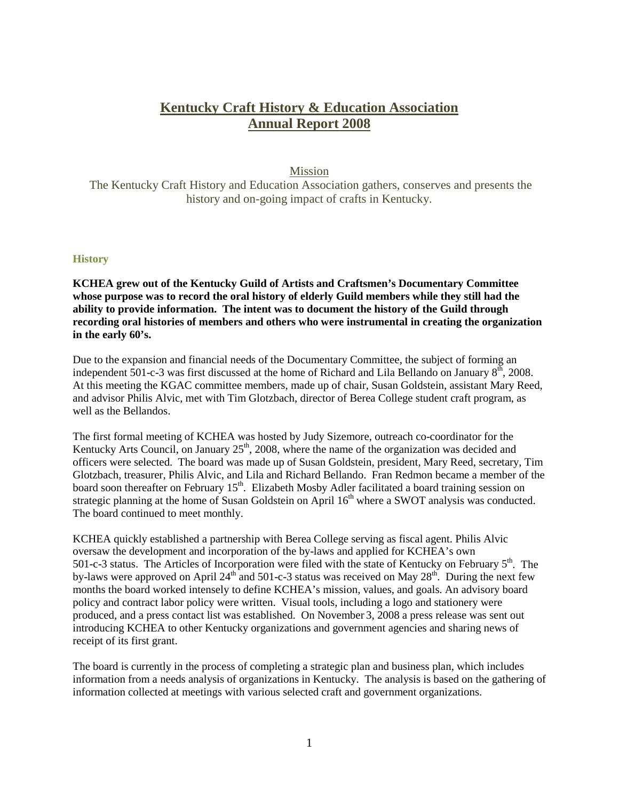## **Kentucky Craft History & Education Association Annual Report 2008**

### Mission

The Kentucky Craft History and Education Association gathers, conserves and presents the history and on-going impact of crafts in Kentucky.

### **History**

**KCHEA grew out of the Kentucky Guild of Artists and Craftsmen's Documentary Committee whose purpose was to record the oral history of elderly Guild members while they still had the ability to provide information. The intent was to document the history of the Guild through recording oral histories of members and others who were instrumental in creating the organization in the early 60's.**

Due to the expansion and financial needs of the Documentary Committee, the subject of forming an independent 501-c-3 was first discussed at the home of Richard and Lila Bellando on January 8<sup>th</sup>, 2008. At this meeting the KGAC committee members, made up of chair, Susan Goldstein, assistant Mary Reed, and advisor Philis Alvic, met with Tim Glotzbach, director of Berea College student craft program, as well as the Bellandos.

The first formal meeting of KCHEA was hosted by Judy Sizemore, outreach co-coordinator for the Kentucky Arts Council, on January  $25<sup>th</sup>$ , 2008, where the name of the organization was decided and officers were selected. The board was made up of Susan Goldstein, president, Mary Reed, secretary, Tim Glotzbach, treasurer, Philis Alvic, and Lila and Richard Bellando. Fran Redmon became a member of the board soon thereafter on February  $15<sup>th</sup>$ . Elizabeth Mosby Adler facilitated a board training session on strategic planning at the home of Susan Goldstein on April 16<sup>th</sup> where a SWOT analysis was conducted. The board continued to meet monthly.

KCHEA quickly established a partnership with Berea College serving as fiscal agent. Philis Alvic oversaw the development and incorporation of the by-laws and applied for KCHEA's own 501-c-3 status. The Articles of Incorporation were filed with the state of Kentucky on February  $5<sup>th</sup>$ . The by-laws were approved on April 24<sup>th</sup> and 501-c-3 status was received on May 28<sup>th</sup>. During the next few months the board worked intensely to define KCHEA's mission, values, and goals. An advisory board policy and contract labor policy were written. Visual tools, including a logo and stationery were produced, and a press contact list was established. On November 3, 2008 a press release was sent out introducing KCHEA to other Kentucky organizations and government agencies and sharing news of receipt of its first grant.

The board is currently in the process of completing a strategic plan and business plan, which includes information from a needs analysis of organizations in Kentucky. The analysis is based on the gathering of information collected at meetings with various selected craft and government organizations.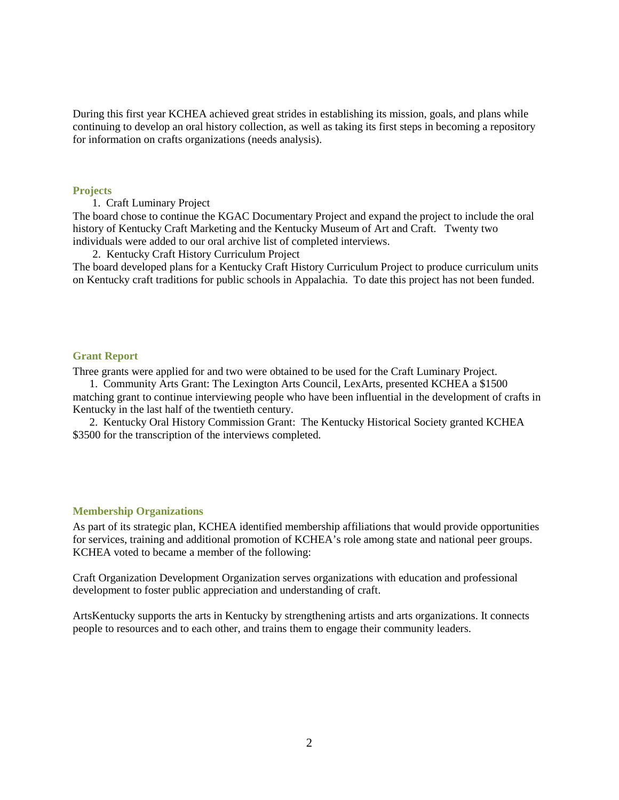During this first year KCHEA achieved great strides in establishing its mission, goals, and plans while continuing to develop an oral history collection, as well as taking its first steps in becoming a repository for information on crafts organizations (needs analysis).

#### **Projects**

1. Craft Luminary Project

The board chose to continue the KGAC Documentary Project and expand the project to include the oral history of Kentucky Craft Marketing and the Kentucky Museum of Art and Craft. Twenty two individuals were added to our oral archive list of completed interviews.

2. Kentucky Craft History Curriculum Project

The board developed plans for a Kentucky Craft History Curriculum Project to produce curriculum units on Kentucky craft traditions for public schools in Appalachia. To date this project has not been funded.

#### **Grant Report**

Three grants were applied for and two were obtained to be used for the Craft Luminary Project.

 1. Community Arts Grant: The Lexington Arts Council, LexArts, presented KCHEA a \$1500 matching grant to continue interviewing people who have been influential in the development of crafts in Kentucky in the last half of the twentieth century.

 2. Kentucky Oral History Commission Grant: The Kentucky Historical Society granted KCHEA \$3500 for the transcription of the interviews completed.

### **Membership Organizations**

As part of its strategic plan, KCHEA identified membership affiliations that would provide opportunities for services, training and additional promotion of KCHEA's role among state and national peer groups. KCHEA voted to became a member of the following:

Craft Organization Development Organization serves organizations with education and professional development to foster public appreciation and understanding of craft.

ArtsKentucky supports the arts in Kentucky by strengthening artists and arts organizations. It connects people to resources and to each other, and trains them to engage their community leaders.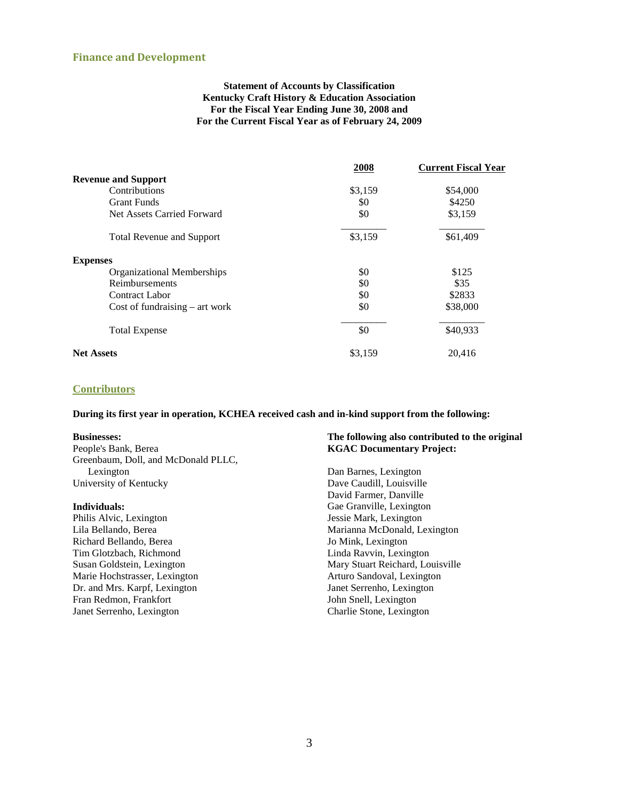#### **Finance and Development**

#### **Statement of Accounts by Classification Kentucky Craft History & Education Association For the Fiscal Year Ending June 30, 2008 and For the Current Fiscal Year as of February 24, 2009**

|                                  | 2008    | <b>Current Fiscal Year</b> |
|----------------------------------|---------|----------------------------|
| <b>Revenue and Support</b>       |         |                            |
| Contributions                    | \$3,159 | \$54,000                   |
| <b>Grant Funds</b>               | \$0     | \$4250                     |
| Net Assets Carried Forward       | \$0     | \$3,159                    |
| <b>Total Revenue and Support</b> | \$3,159 | \$61,409                   |
| <b>Expenses</b>                  |         |                            |
| Organizational Memberships       | \$0     | \$125                      |
| Reimbursements                   | \$0     | \$35                       |
| Contract Labor                   | \$0     | \$2833                     |
| Cost of fundraising $-$ art work | \$0     | \$38,000                   |
| <b>Total Expense</b>             | \$0     | \$40,933                   |
| <b>Net Assets</b>                | \$3,159 | 20,416                     |

### **Contributors**

**During its first year in operation, KCHEA received cash and in-kind support from the following:**

#### **Businesses:**

People's Bank, Berea Greenbaum, Doll, and McDonald PLLC, Lexington University of Kentucky

#### **Individuals:**

Philis Alvic, Lexington Lila Bellando, Berea Richard Bellando, Berea Tim Glotzbach, Richmond Susan Goldstein, Lexington Marie Hochstrasser, Lexington Dr. and Mrs. Karpf, Lexington Fran Redmon, Frankfort Janet Serrenho, Lexington

#### **The following also contributed to the original KGAC Documentary Project:**

Dan Barnes, Lexington Dave Caudill, Louisville David Farmer, Danville Gae Granville, Lexington Jessie Mark, Lexington Marianna McDonald, Lexington Jo Mink, Lexington Linda Ravvin, Lexington Mary Stuart Reichard, Louisville Arturo Sandoval, Lexington Janet Serrenho, Lexington John Snell, Lexington Charlie Stone, Lexington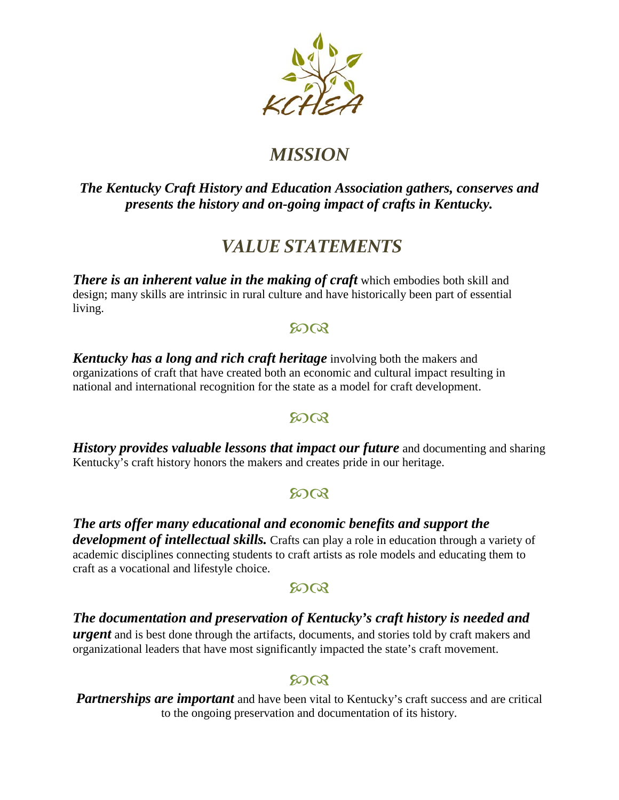

# *MISSION*

## *The Kentucky Craft History and Education Association gathers, conserves and presents the history and on-going impact of crafts in Kentucky.*

# *VALUE STATEMENTS*

*There is an inherent value in the making of craft* **which embodies both skill and** design; many skills are intrinsic in rural culture and have historically been part of essential living.

## 8008

*Kentucky has a long and rich craft heritage* involving both the makers and organizations of craft that have created both an economic and cultural impact resulting in national and international recognition for the state as a model for craft development.

## 8008

*History provides valuable lessons that impact our future* and documenting and sharing Kentucky's craft history honors the makers and creates pride in our heritage.

## $500$

*The arts offer many educational and economic benefits and support the development of intellectual skills.* Crafts can play a role in education through a variety of academic disciplines connecting students to craft artists as role models and educating them to craft as a vocational and lifestyle choice.

## $5003$

*The documentation and preservation of Kentucky's craft history is needed and urgent* and is best done through the artifacts, documents, and stories told by craft makers and organizational leaders that have most significantly impacted the state's craft movement.

## 80QR

**Partnerships are important** and have been vital to Kentucky's craft success and are critical to the ongoing preservation and documentation of its history.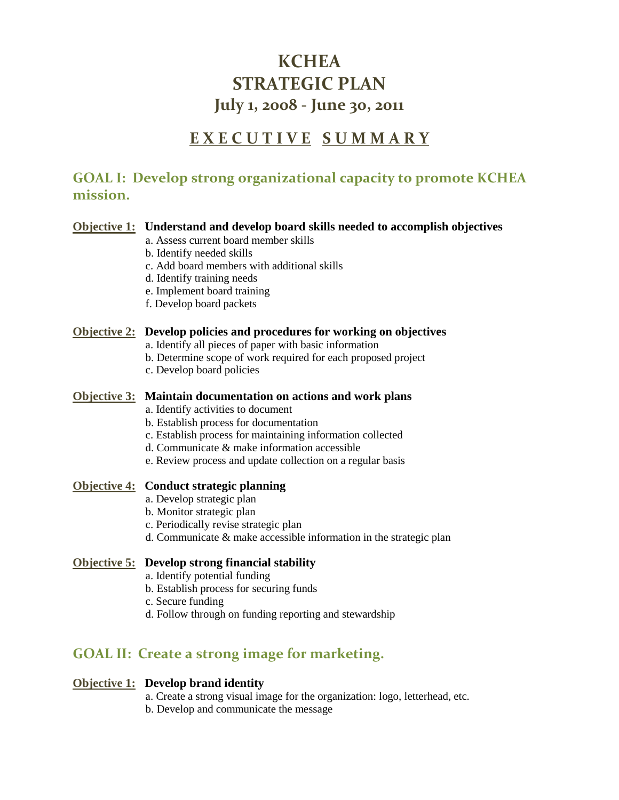# **KCHEA STRATEGIC PLAN July 1, 2008 - June 30, 2011**

# **E X E C U T I V E S U M M A R Y**

## **GOAL I: Develop strong organizational capacity to promote KCHEA mission.**

## **Objective 1: Understand and develop board skills needed to accomplish objectives**

- a. Assess current board member skills
- b. Identify needed skills
- c. Add board members with additional skills
- d. Identify training needs
- e. Implement board training
- f. Develop board packets

## **Objective 2: Develop policies and procedures for working on objectives**

- a. Identify all pieces of paper with basic information
- b. Determine scope of work required for each proposed project
- c. Develop board policies

## **Objective 3: Maintain documentation on actions and work plans**

- a. Identify activities to document
- b. Establish process for documentation
- c. Establish process for maintaining information collected
- d. Communicate & make information accessible
- e. Review process and update collection on a regular basis

## **Objective 4: Conduct strategic planning**

- a. Develop strategic plan
- b. Monitor strategic plan
- c. Periodically revise strategic plan
- d. Communicate & make accessible information in the strategic plan

## **Objective 5: Develop strong financial stability**

- a. Identify potential funding
- b. Establish process for securing funds
- c. Secure funding
- d. Follow through on funding reporting and stewardship

## **GOAL II: Create a strong image for marketing.**

## **Objective 1: Develop brand identity**

- a. Create a strong visual image for the organization: logo, letterhead, etc.
- b. Develop and communicate the message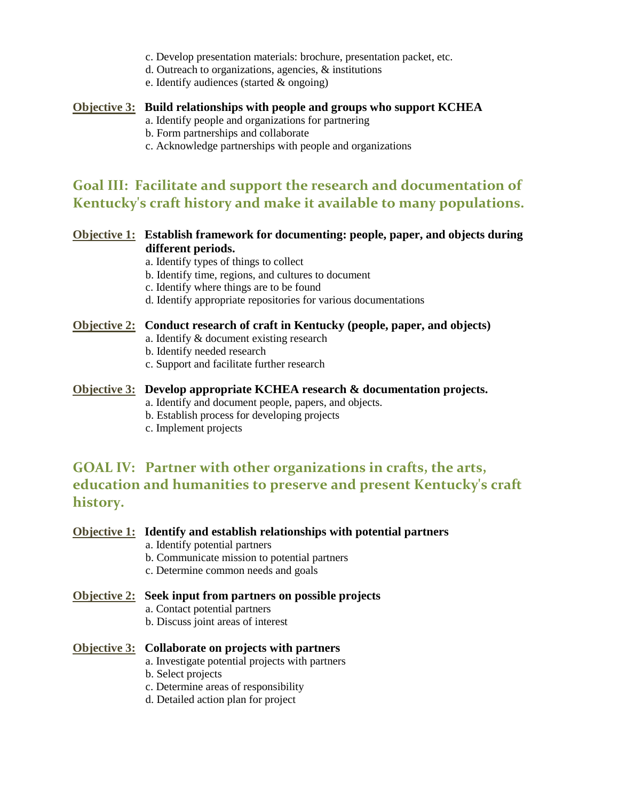- c. Develop presentation materials: brochure, presentation packet, etc.
- d. Outreach to organizations, agencies, & institutions
- e. Identify audiences (started & ongoing)

### **Objective 3: Build relationships with people and groups who support KCHEA**

- a. Identify people and organizations for partnering
- b. Form partnerships and collaborate
- c. Acknowledge partnerships with people and organizations

## **Goal III: Facilitate and support the research and documentation of Kentucky's craft history and make it available to many populations.**

## **Objective 1: Establish framework for documenting: people, paper, and objects during different periods.**

- a. Identify types of things to collect
- b. Identify time, regions, and cultures to document
- c. Identify where things are to be found
- d. Identify appropriate repositories for various documentations

### **Objective 2: Conduct research of craft in Kentucky (people, paper, and objects)**

- a. Identify & document existing research
- b. Identify needed research
- c. Support and facilitate further research

### **Objective 3: Develop appropriate KCHEA research & documentation projects.**

- a. Identify and document people, papers, and objects.
- b. Establish process for developing projects
- c. Implement projects

## **GOAL IV: Partner with other organizations in crafts, the arts, education and humanities to preserve and present Kentucky's craft history.**

### **Objective 1: Identify and establish relationships with potential partners**

- a. Identify potential partners
- b. Communicate mission to potential partners
- c. Determine common needs and goals

### **Objective 2: Seek input from partners on possible projects**

- a. Contact potential partners
- b. Discuss joint areas of interest

### **Objective 3: Collaborate on projects with partners**

- a. Investigate potential projects with partners
- b. Select projects
- c. Determine areas of responsibility
- d. Detailed action plan for project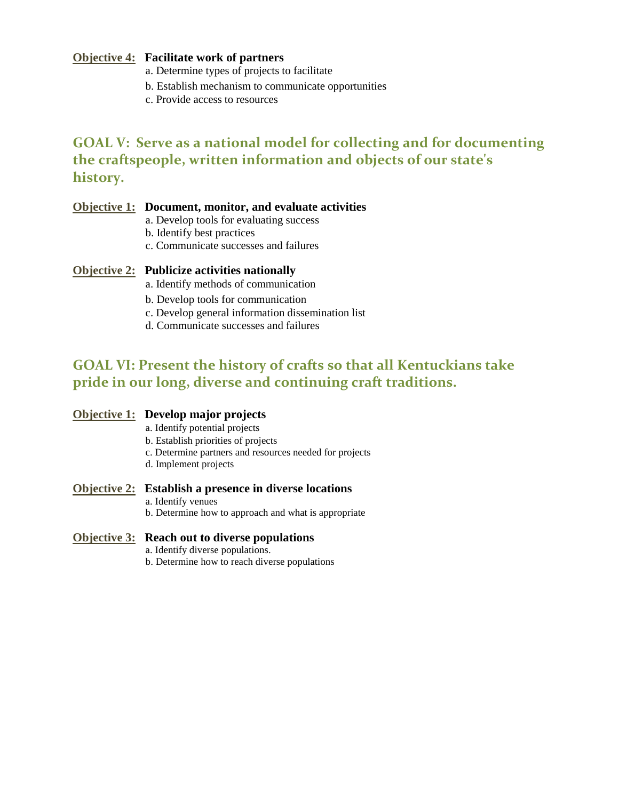## **Objective 4: Facilitate work of partners**

- a. Determine types of projects to facilitate
- b. Establish mechanism to communicate opportunities
- c. Provide access to resources

## **GOAL V: Serve as a national model for collecting and for documenting the craftspeople, written information and objects of our state's history.**

## **Objective 1: Document, monitor, and evaluate activities**

- a. Develop tools for evaluating success
- b. Identify best practices
- c. Communicate successes and failures

## **Objective 2: Publicize activities nationally**

- a. Identify methods of communication
- b. Develop tools for communication
- c. Develop general information dissemination list
- d. Communicate successes and failures

## **GOAL VI: Present the history of crafts so that all Kentuckians take pride in our long, diverse and continuing craft traditions.**

### **Objective 1: Develop major projects**

- a. Identify potential projects
- b. Establish priorities of projects
- c. Determine partners and resources needed for projects
- d. Implement projects

### **Objective 2: Establish a presence in diverse locations**

- a. Identify venues
- b. Determine how to approach and what is appropriate

### **Objective 3: Reach out to diverse populations**

- a. Identify diverse populations.
- b. Determine how to reach diverse populations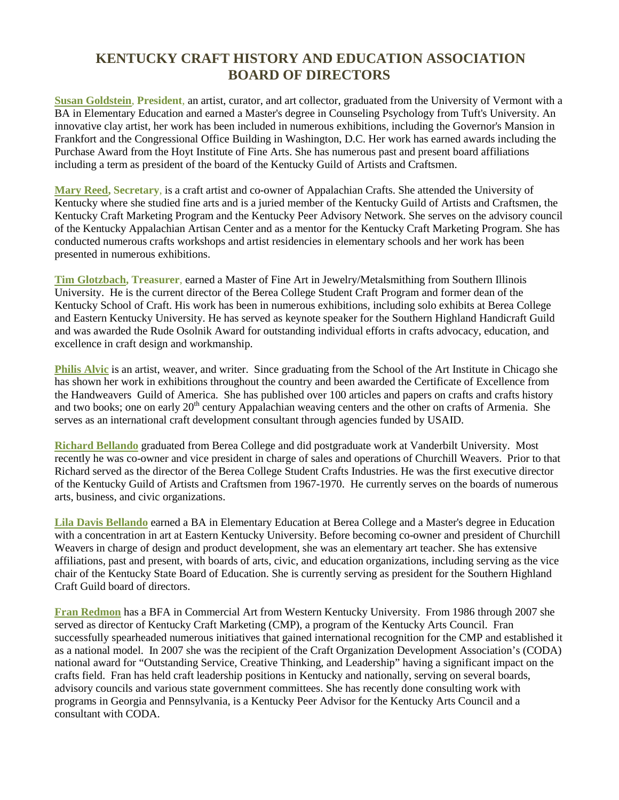## **KENTUCKY CRAFT HISTORY AND EDUCATION ASSOCIATION BOARD OF DIRECTORS**

**Susan Goldstein**, **President**, an artist, curator, and art collector, graduated from the University of Vermont with a BA in Elementary Education and earned a Master's degree in Counseling Psychology from Tuft's University. An innovative clay artist, her work has been included in numerous exhibitions, including the Governor's Mansion in Frankfort and the Congressional Office Building in Washington, D.C. Her work has earned awards including the Purchase Award from the Hoyt Institute of Fine Arts. She has numerous past and present board affiliations including a term as president of the board of the Kentucky Guild of Artists and Craftsmen.

**Mary Reed, Secretary**, is a craft artist and co-owner of Appalachian Crafts. She attended the University of Kentucky where she studied fine arts and is a juried member of the Kentucky Guild of Artists and Craftsmen, the Kentucky Craft Marketing Program and the Kentucky Peer Advisory Network. She serves on the advisory council of the Kentucky Appalachian Artisan Center and as a mentor for the Kentucky Craft Marketing Program. She has conducted numerous crafts workshops and artist residencies in elementary schools and her work has been presented in numerous exhibitions.

**Tim Glotzbach, Treasurer**, earned a Master of Fine Art in Jewelry/Metalsmithing from Southern Illinois University. He is the current director of the Berea College Student Craft Program and former dean of the Kentucky School of Craft. His work has been in numerous exhibitions, including solo exhibits at Berea College and Eastern Kentucky University. He has served as keynote speaker for the Southern Highland Handicraft Guild and was awarded the Rude Osolnik Award for outstanding individual efforts in crafts advocacy, education, and excellence in craft design and workmanship.

**Philis Alvic** is an artist, weaver, and writer. Since graduating from the School of the Art Institute in Chicago she has shown her work in exhibitions throughout the country and been awarded the Certificate of Excellence from the Handweavers Guild of America. She has published over 100 articles and papers on crafts and crafts history and two books; one on early 20<sup>th</sup> century Appalachian weaving centers and the other on crafts of Armenia. She serves as an international craft development consultant through agencies funded by USAID.

**Richard Bellando** graduated from Berea College and did postgraduate work at Vanderbilt University. Most recently he was co-owner and vice president in charge of sales and operations of Churchill Weavers. Prior to that Richard served as the director of the Berea College Student Crafts Industries. He was the first executive director of the Kentucky Guild of Artists and Craftsmen from 1967-1970. He currently serves on the boards of numerous arts, business, and civic organizations.

**Lila Davis Bellando** earned a BA in Elementary Education at Berea College and a Master's degree in Education with a concentration in art at Eastern Kentucky University. Before becoming co-owner and president of Churchill Weavers in charge of design and product development, she was an elementary art teacher. She has extensive affiliations, past and present, with boards of arts, civic, and education organizations, including serving as the vice chair of the Kentucky State Board of Education. She is currently serving as president for the Southern Highland Craft Guild board of directors.

**Fran Redmon** has a BFA in Commercial Art from Western Kentucky University. From 1986 through 2007 she served as director of Kentucky Craft Marketing (CMP), a program of the Kentucky Arts Council. Fran successfully spearheaded numerous initiatives that gained international recognition for the CMP and established it as a national model. In 2007 she was the recipient of the Craft Organization Development Association's (CODA) national award for "Outstanding Service, Creative Thinking, and Leadership" having a significant impact on the crafts field. Fran has held craft leadership positions in Kentucky and nationally, serving on several boards, advisory councils and various state government committees. She has recently done consulting work with programs in Georgia and Pennsylvania, is a Kentucky Peer Advisor for the Kentucky Arts Council and a consultant with CODA.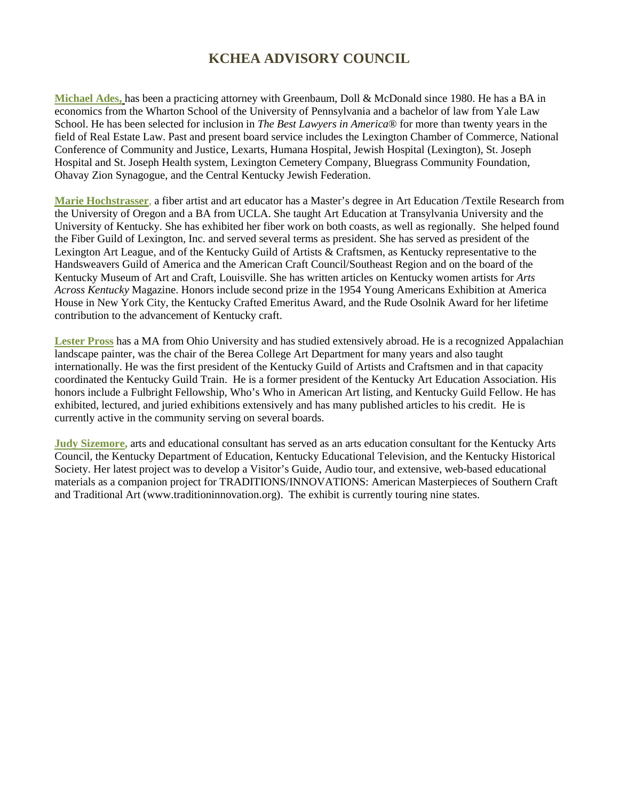## **KCHEA ADVISORY COUNCIL**

**Michael Ades,** has been a practicing attorney with Greenbaum, Doll & McDonald since 1980. He has a BA in economics from the Wharton School of the University of Pennsylvania and a bachelor of law from Yale Law School. He has been selected for inclusion in *The Best Lawyers in America*® for more than twenty years in the field of Real Estate Law. Past and present board service includes the Lexington Chamber of Commerce, National Conference of Community and Justice, Lexarts, Humana Hospital, Jewish Hospital (Lexington), St. Joseph Hospital and St. Joseph Health system, Lexington Cemetery Company, Bluegrass Community Foundation, Ohavay Zion Synagogue, and the Central Kentucky Jewish Federation.

**Marie Hochstrasser**, a fiber artist and art educator has a Master's degree in Art Education /Textile Research from the University of Oregon and a BA from UCLA. She taught Art Education at Transylvania University and the University of Kentucky. She has exhibited her fiber work on both coasts, as well as regionally. She helped found the Fiber Guild of Lexington, Inc. and served several terms as president. She has served as president of the Lexington Art League, and of the Kentucky Guild of Artists & Craftsmen, as Kentucky representative to the Handsweavers Guild of America and the American Craft Council/Southeast Region and on the board of the Kentucky Museum of Art and Craft, Louisville. She has written articles on Kentucky women artists for *Arts Across Kentucky* Magazine. Honors include second prize in the 1954 Young Americans Exhibition at America House in New York City, the Kentucky Crafted Emeritus Award, and the Rude Osolnik Award for her lifetime contribution to the advancement of Kentucky craft.

**Lester Pross** has a MA from Ohio University and has studied extensively abroad. He is a recognized Appalachian landscape painter, was the chair of the Berea College Art Department for many years and also taught internationally. He was the first president of the Kentucky Guild of Artists and Craftsmen and in that capacity coordinated the Kentucky Guild Train. He is a former president of the Kentucky Art Education Association. His honors include a Fulbright Fellowship, Who's Who in American Art listing, and Kentucky Guild Fellow. He has exhibited, lectured, and juried exhibitions extensively and has many published articles to his credit. He is currently active in the community serving on several boards.

**Judy Sizemore,** arts and educational consultant has served as an arts education consultant for the Kentucky Arts Council, the Kentucky Department of Education, Kentucky Educational Television, and the Kentucky Historical Society. Her latest project was to develop a Visitor's Guide, Audio tour, and extensive, web-based educational materials as a companion project for TRADITIONS/INNOVATIONS: American Masterpieces of Southern Craft and Traditional Art (www.traditioninnovation.org). The exhibit is currently touring nine states.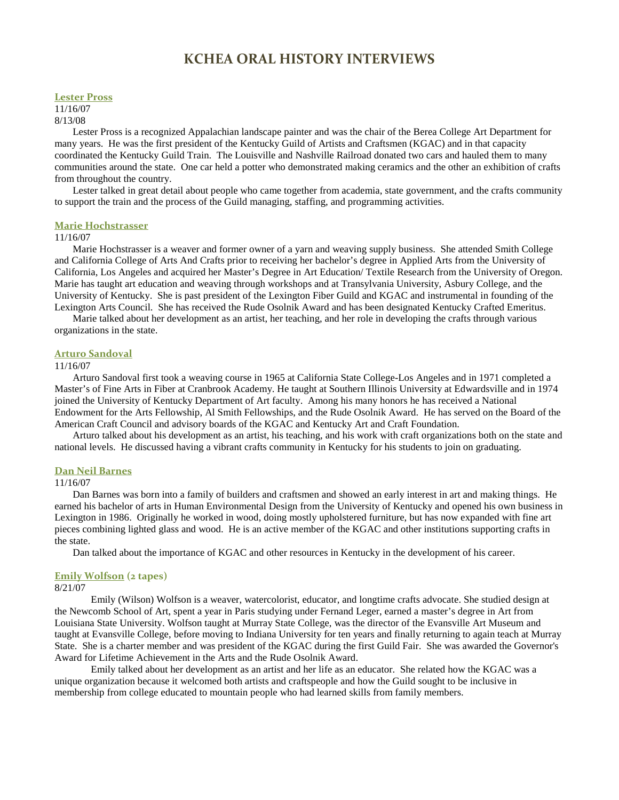## **KCHEA ORAL HISTORY INTERVIEWS**

#### **Lester Pross**

11/16/07 8/13/08

Lester Pross is a recognized Appalachian landscape painter and was the chair of the Berea College Art Department for many years. He was the first president of the Kentucky Guild of Artists and Craftsmen (KGAC) and in that capacity coordinated the Kentucky Guild Train. The Louisville and Nashville Railroad donated two cars and hauled them to many communities around the state. One car held a potter who demonstrated making ceramics and the other an exhibition of crafts from throughout the country.

Lester talked in great detail about people who came together from academia, state government, and the crafts community to support the train and the process of the Guild managing, staffing, and programming activities.

#### **Marie Hochstrasser**

#### 11/16/07

Marie Hochstrasser is a weaver and former owner of a yarn and weaving supply business. She attended Smith College and California College of Arts And Crafts prior to receiving her bachelor's degree in Applied Arts from the University of California, Los Angeles and acquired her Master's Degree in Art Education/ Textile Research from the University of Oregon. Marie has taught art education and weaving through workshops and at Transylvania University, Asbury College, and the University of Kentucky. She is past president of the Lexington Fiber Guild and KGAC and instrumental in founding of the Lexington Arts Council. She has received the Rude Osolnik Award and has been designated Kentucky Crafted Emeritus.

Marie talked about her development as an artist, her teaching, and her role in developing the crafts through various organizations in the state.

#### **Arturo Sandoval**

#### 11/16/07

Arturo Sandoval first took a weaving course in 1965 at California State College-Los Angeles and in 1971 completed a Master's of Fine Arts in Fiber at Cranbrook Academy. He taught at Southern Illinois University at Edwardsville and in 1974 joined the University of Kentucky Department of Art faculty. Among his many honors he has received a National Endowment for the Arts Fellowship, Al Smith Fellowships, and the Rude Osolnik Award. He has served on the Board of the American Craft Council and advisory boards of the KGAC and Kentucky Art and Craft Foundation.

Arturo talked about his development as an artist, his teaching, and his work with craft organizations both on the state and national levels. He discussed having a vibrant crafts community in Kentucky for his students to join on graduating.

#### **Dan Neil Barnes**

#### 11/16/07

Dan Barnes was born into a family of builders and craftsmen and showed an early interest in art and making things. He earned his bachelor of arts in Human Environmental Design from the University of Kentucky and opened his own business in Lexington in 1986. Originally he worked in wood, doing mostly upholstered furniture, but has now expanded with fine art pieces combining lighted glass and wood. He is an active member of the KGAC and other institutions supporting crafts in the state.

Dan talked about the importance of KGAC and other resources in Kentucky in the development of his career.

#### **Emily Wolfson (2 tapes)**

#### 8/21/07

Emily (Wilson) Wolfson is a weaver, watercolorist, educator, and longtime crafts advocate. She studied design at the Newcomb School of Art, spent a year in Paris studying under Fernand Leger, earned a master's degree in Art from Louisiana State University. Wolfson taught at Murray State College, was the director of the Evansville Art Museum and taught at Evansville College, before moving to Indiana University for ten years and finally returning to again teach at Murray State. She is a charter member and was president of the KGAC during the first Guild Fair. She was awarded the Governor's Award for Lifetime Achievement in the Arts and the Rude Osolnik Award.

Emily talked about her development as an artist and her life as an educator. She related how the KGAC was a unique organization because it welcomed both artists and craftspeople and how the Guild sought to be inclusive in membership from college educated to mountain people who had learned skills from family members.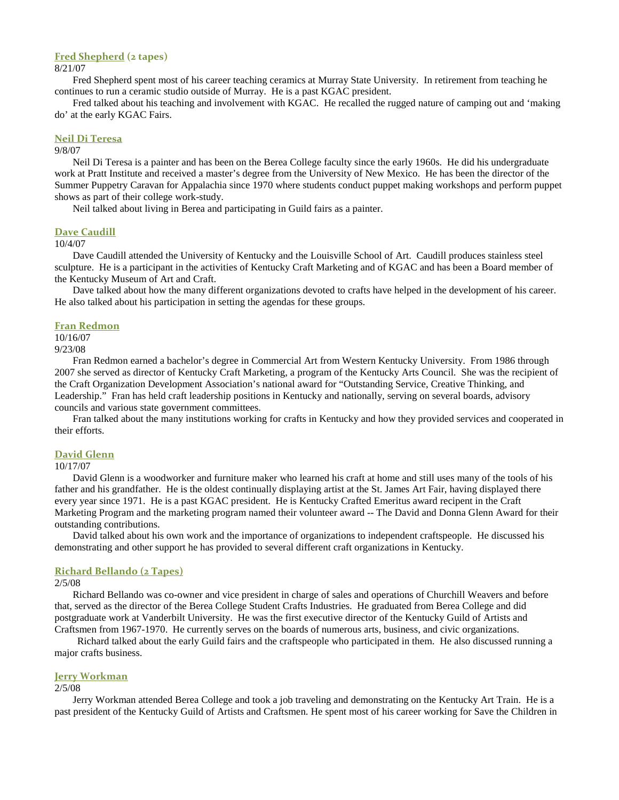#### **Fred Shepherd (2 tapes)**

8/21/07

Fred Shepherd spent most of his career teaching ceramics at Murray State University. In retirement from teaching he continues to run a ceramic studio outside of Murray. He is a past KGAC president.

Fred talked about his teaching and involvement with KGAC. He recalled the rugged nature of camping out and 'making do' at the early KGAC Fairs.

#### **Neil Di Teresa**

#### 9/8/07

Neil Di Teresa is a painter and has been on the Berea College faculty since the early 1960s. He did his undergraduate work at Pratt Institute and received a master's degree from the University of New Mexico. He has been the director of the Summer Puppetry Caravan for Appalachia since 1970 where students conduct puppet making workshops and perform puppet shows as part of their college work-study.

Neil talked about living in Berea and participating in Guild fairs as a painter.

#### **Dave Caudill**

#### 10/4/07

Dave Caudill attended the University of Kentucky and the Louisville School of Art. Caudill produces stainless steel sculpture. He is a participant in the activities of Kentucky Craft Marketing and of KGAC and has been a Board member of the Kentucky Museum of Art and Craft.

Dave talked about how the many different organizations devoted to crafts have helped in the development of his career. He also talked about his participation in setting the agendas for these groups.

#### **Fran Redmon**

10/16/07

9/23/08

Fran Redmon earned a bachelor's degree in Commercial Art from Western Kentucky University. From 1986 through 2007 she served as director of Kentucky Craft Marketing, a program of the Kentucky Arts Council. She was the recipient of the Craft Organization Development Association's national award for "Outstanding Service, Creative Thinking, and Leadership." Fran has held craft leadership positions in Kentucky and nationally, serving on several boards, advisory councils and various state government committees.

Fran talked about the many institutions working for crafts in Kentucky and how they provided services and cooperated in their efforts.

#### **David Glenn**

#### 10/17/07

David Glenn is a woodworker and furniture maker who learned his craft at home and still uses many of the tools of his father and his grandfather. He is the oldest continually displaying artist at the St. James Art Fair, having displayed there every year since 1971. He is a past KGAC president. He is Kentucky Crafted Emeritus award recipent in the Craft Marketing Program and the marketing program named their volunteer award -- The David and Donna Glenn Award for their outstanding contributions.

David talked about his own work and the importance of organizations to independent craftspeople. He discussed his demonstrating and other support he has provided to several different craft organizations in Kentucky.

#### **Richard Bellando (2 Tapes)**

#### 2/5/08

Richard Bellando was co-owner and vice president in charge of sales and operations of Churchill Weavers and before that, served as the director of the Berea College Student Crafts Industries. He graduated from Berea College and did postgraduate work at Vanderbilt University. He was the first executive director of the Kentucky Guild of Artists and Craftsmen from 1967-1970. He currently serves on the boards of numerous arts, business, and civic organizations.

Richard talked about the early Guild fairs and the craftspeople who participated in them. He also discussed running a major crafts business.

#### **Jerry Workman**

#### 2/5/08

Jerry Workman attended Berea College and took a job traveling and demonstrating on the Kentucky Art Train. He is a past president of the Kentucky Guild of Artists and Craftsmen. He spent most of his career working for Save the Children in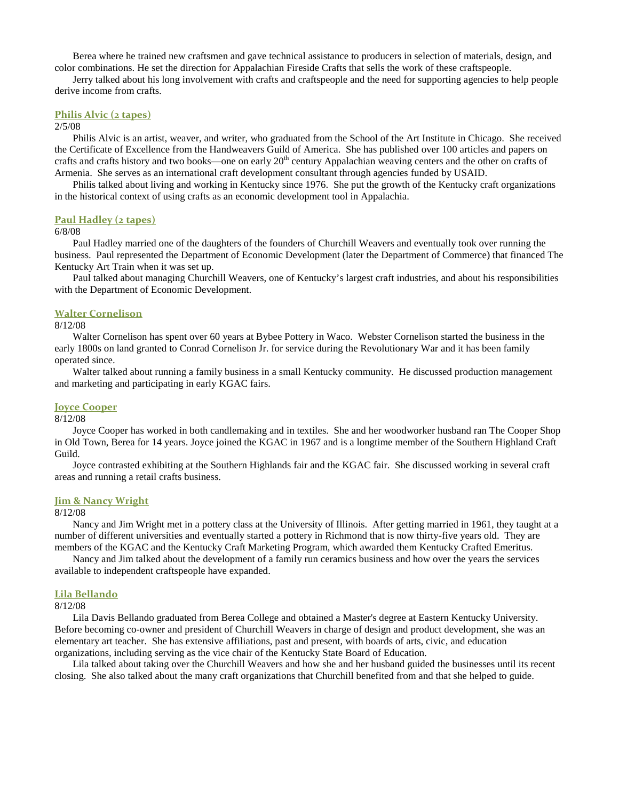Berea where he trained new craftsmen and gave technical assistance to producers in selection of materials, design, and color combinations. He set the direction for Appalachian Fireside Crafts that sells the work of these craftspeople.

Jerry talked about his long involvement with crafts and craftspeople and the need for supporting agencies to help people derive income from crafts.

#### **Philis Alvic (2 tapes)**

#### 2/5/08

Philis Alvic is an artist, weaver, and writer, who graduated from the School of the Art Institute in Chicago. She received the Certificate of Excellence from the Handweavers Guild of America. She has published over 100 articles and papers on crafts and crafts history and two books—one on early 20<sup>th</sup> century Appalachian weaving centers and the other on crafts of Armenia. She serves as an international craft development consultant through agencies funded by USAID.

Philis talked about living and working in Kentucky since 1976. She put the growth of the Kentucky craft organizations in the historical context of using crafts as an economic development tool in Appalachia.

#### **Paul Hadley (2 tapes)**

#### 6/8/08

Paul Hadley married one of the daughters of the founders of Churchill Weavers and eventually took over running the business. Paul represented the Department of Economic Development (later the Department of Commerce) that financed The Kentucky Art Train when it was set up.

Paul talked about managing Churchill Weavers, one of Kentucky's largest craft industries, and about his responsibilities with the Department of Economic Development.

#### **Walter Cornelison**

#### 8/12/08

Walter Cornelison has spent over 60 years at Bybee Pottery in Waco. Webster Cornelison started the business in the early 1800s on land granted to Conrad Cornelison Jr. for service during the Revolutionary War and it has been family operated since.

Walter talked about running a family business in a small Kentucky community. He discussed production management and marketing and participating in early KGAC fairs.

#### **Joyce Cooper**

#### 8/12/08

Joyce Cooper has worked in both candlemaking and in textiles. She and her woodworker husband ran The Cooper Shop in Old Town, Berea for 14 years. Joyce joined the KGAC in 1967 and is a longtime member of the Southern Highland Craft Guild.

Joyce contrasted exhibiting at the Southern Highlands fair and the KGAC fair. She discussed working in several craft areas and running a retail crafts business.

#### **Jim & Nancy Wright**

#### 8/12/08

Nancy and Jim Wright met in a pottery class at the University of Illinois. After getting married in 1961, they taught at a number of different universities and eventually started a pottery in Richmond that is now thirty-five years old. They are members of the KGAC and the Kentucky Craft Marketing Program, which awarded them Kentucky Crafted Emeritus.

Nancy and Jim talked about the development of a family run ceramics business and how over the years the services available to independent craftspeople have expanded.

#### **Lila Bellando**

#### 8/12/08

Lila Davis Bellando graduated from Berea College and obtained a Master's degree at Eastern Kentucky University. Before becoming co-owner and president of Churchill Weavers in charge of design and product development, she was an elementary art teacher. She has extensive affiliations, past and present, with boards of arts, civic, and education organizations, including serving as the vice chair of the Kentucky State Board of Education.

Lila talked about taking over the Churchill Weavers and how she and her husband guided the businesses until its recent closing. She also talked about the many craft organizations that Churchill benefited from and that she helped to guide.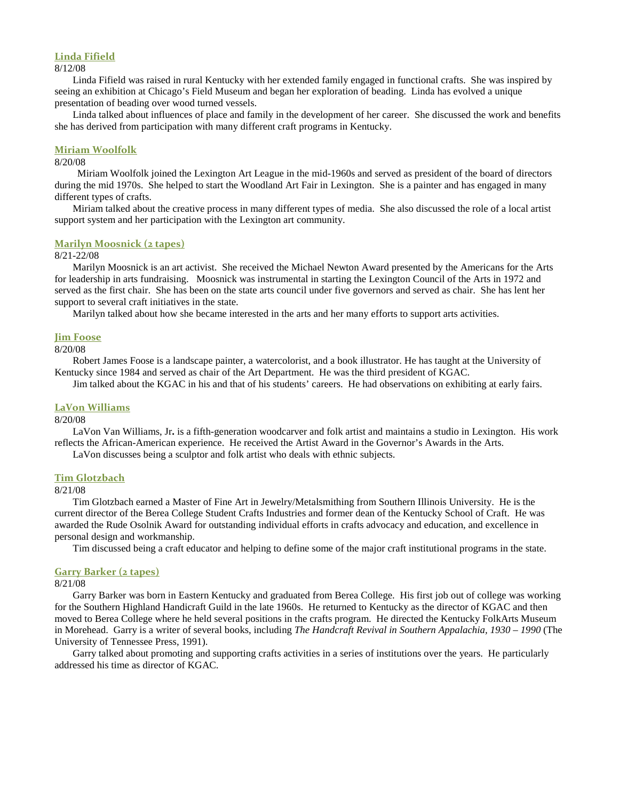#### **Linda Fifield**

#### 8/12/08

Linda Fifield was raised in rural Kentucky with her extended family engaged in functional crafts. She was inspired by seeing an exhibition at Chicago's Field Museum and began her exploration of beading. Linda has evolved a unique presentation of beading over wood turned vessels.

Linda talked about influences of place and family in the development of her career. She discussed the work and benefits she has derived from participation with many different craft programs in Kentucky.

#### **Miriam Woolfolk**

#### 8/20/08

Miriam Woolfolk joined the Lexington Art League in the mid-1960s and served as president of the board of directors during the mid 1970s. She helped to start the Woodland Art Fair in Lexington. She is a painter and has engaged in many different types of crafts.

Miriam talked about the creative process in many different types of media. She also discussed the role of a local artist support system and her participation with the Lexington art community.

#### **Marilyn Moosnick (2 tapes)**

#### 8/21-22/08

Marilyn Moosnick is an art activist. She received the Michael Newton Award presented by the Americans for the Arts for leadership in arts fundraising. Moosnick was instrumental in starting the Lexington Council of the Arts in 1972 and served as the first chair. She has been on the state arts council under five governors and served as chair. She has lent her support to several craft initiatives in the state.

Marilyn talked about how she became interested in the arts and her many efforts to support arts activities.

#### **Jim Foose**

#### 8/20/08

Robert James Foose is a landscape painter, a watercolorist, and a book illustrator. He has taught at the University of Kentucky since 1984 and served as chair of the Art Department. He was the third president of KGAC.

Jim talked about the KGAC in his and that of his students' careers. He had observations on exhibiting at early fairs.

#### **LaVon Williams**

#### 8/20/08

LaVon Van Williams, Jr**.** is a fifth-generation woodcarver and folk artist and maintains a studio in Lexington. His work reflects the African-American experience. He received the Artist Award in the Governor's Awards in the Arts.

LaVon discusses being a sculptor and folk artist who deals with ethnic subjects.

#### **Tim Glotzbach**

#### 8/21/08

Tim Glotzbach earned a Master of Fine Art in Jewelry/Metalsmithing from Southern Illinois University. He is the current director of the Berea College Student Crafts Industries and former dean of the Kentucky School of Craft. He was awarded the Rude Osolnik Award for outstanding individual efforts in crafts advocacy and education, and excellence in personal design and workmanship.

Tim discussed being a craft educator and helping to define some of the major craft institutional programs in the state.

#### **Garry Barker (2 tapes)**

#### 8/21/08

Garry Barker was born in Eastern Kentucky and graduated from Berea College. His first job out of college was working for the Southern Highland Handicraft Guild in the late 1960s. He returned to Kentucky as the director of KGAC and then moved to Berea College where he held several positions in the crafts program. He directed the Kentucky FolkArts Museum in Morehead. Garry is a writer of several books, including *The Handcraft Revival in Southern Appalachia, 1930 – 1990* (The University of Tennessee Press, 1991).

Garry talked about promoting and supporting crafts activities in a series of institutions over the years. He particularly addressed his time as director of KGAC.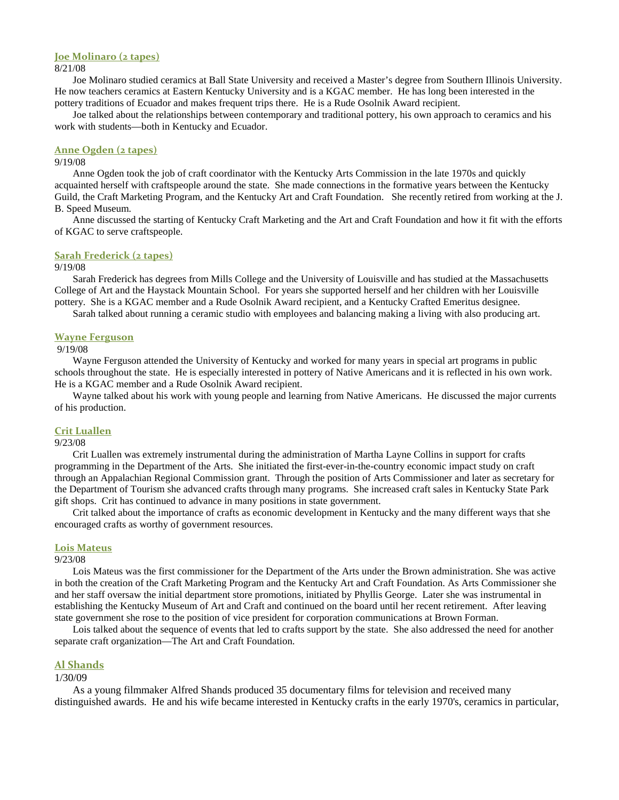#### **Joe Molinaro (2 tapes)**

#### 8/21/08

Joe Molinaro studied ceramics at Ball State University and received a Master's degree from Southern Illinois University. He now teachers ceramics at Eastern Kentucky University and is a KGAC member. He has long been interested in the pottery traditions of Ecuador and makes frequent trips there. He is a Rude Osolnik Award recipient.

Joe talked about the relationships between contemporary and traditional pottery, his own approach to ceramics and his work with students—both in Kentucky and Ecuador.

#### **Anne Ogden (2 tapes)**

#### 9/19/08

Anne Ogden took the job of craft coordinator with the Kentucky Arts Commission in the late 1970s and quickly acquainted herself with craftspeople around the state. She made connections in the formative years between the Kentucky Guild, the Craft Marketing Program, and the Kentucky Art and Craft Foundation. She recently retired from working at the J. B. Speed Museum.

Anne discussed the starting of Kentucky Craft Marketing and the Art and Craft Foundation and how it fit with the efforts of KGAC to serve craftspeople.

#### **Sarah Frederick (2 tapes)**

#### 9/19/08

Sarah Frederick has degrees from Mills College and the University of Louisville and has studied at the Massachusetts College of Art and the Haystack Mountain School. For years she supported herself and her children with her Louisville pottery. She is a KGAC member and a Rude Osolnik Award recipient, and a Kentucky Crafted Emeritus designee.

Sarah talked about running a ceramic studio with employees and balancing making a living with also producing art.

#### **Wayne Ferguson**

9/19/08

Wayne Ferguson attended the University of Kentucky and worked for many years in special art programs in public schools throughout the state. He is especially interested in pottery of Native Americans and it is reflected in his own work. He is a KGAC member and a Rude Osolnik Award recipient.

Wayne talked about his work with young people and learning from Native Americans. He discussed the major currents of his production.

#### **Crit Luallen**

#### 9/23/08

Crit Luallen was extremely instrumental during the administration of Martha Layne Collins in support for crafts programming in the Department of the Arts. She initiated the first-ever-in-the-country economic impact study on craft through an Appalachian Regional Commission grant. Through the position of Arts Commissioner and later as secretary for the Department of Tourism she advanced crafts through many programs. She increased craft sales in Kentucky State Park gift shops. Crit has continued to advance in many positions in state government.

Crit talked about the importance of crafts as economic development in Kentucky and the many different ways that she encouraged crafts as worthy of government resources.

#### **Lois Mateus**

#### 9/23/08

Lois Mateus was the first commissioner for the Department of the Arts under the Brown administration. She was active in both the creation of the Craft Marketing Program and the Kentucky Art and Craft Foundation. As Arts Commissioner she and her staff oversaw the initial department store promotions, initiated by Phyllis George. Later she was instrumental in establishing the Kentucky Museum of Art and Craft and continued on the board until her recent retirement. After leaving state government she rose to the position of vice president for corporation communications at Brown Forman.

Lois talked about the sequence of events that led to crafts support by the state. She also addressed the need for another separate craft organization—The Art and Craft Foundation.

#### **Al Shands**

#### 1/30/09

As a young filmmaker Alfred Shands produced 35 documentary films for television and received many distinguished awards. He and his wife became interested in Kentucky crafts in the early 1970's, ceramics in particular,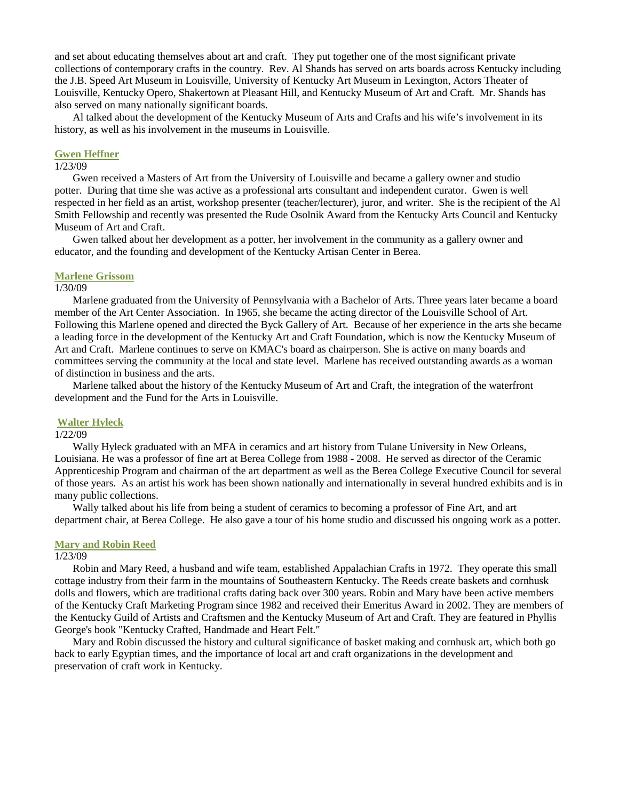and set about educating themselves about art and craft. They put together one of the most significant private collections of contemporary crafts in the country. Rev. Al Shands has served on arts boards across Kentucky including the J.B. Speed Art Museum in Louisville, University of Kentucky Art Museum in Lexington, Actors Theater of Louisville, Kentucky Opero, Shakertown at Pleasant Hill, and Kentucky Museum of Art and Craft. Mr. Shands has also served on many nationally significant boards.

Al talked about the development of the Kentucky Museum of Arts and Crafts and his wife's involvement in its history, as well as his involvement in the museums in Louisville.

#### **Gwen Heffner**

### 1/23/09

Gwen received a Masters of Art from the University of Louisville and became a gallery owner and studio potter. During that time she was active as a professional arts consultant and independent curator. Gwen is well respected in her field as an artist, workshop presenter (teacher/lecturer), juror, and writer. She is the recipient of the Al Smith Fellowship and recently was presented the Rude Osolnik Award from the Kentucky Arts Council and Kentucky Museum of Art and Craft.

Gwen talked about her development as a potter, her involvement in the community as a gallery owner and educator, and the founding and development of the Kentucky Artisan Center in Berea.

#### **Marlene Grissom**

#### 1/30/09

Marlene graduated from the University of Pennsylvania with a Bachelor of Arts. Three years later became a board member of the Art Center Association. In 1965, she became the acting director of the Louisville School of Art. Following this Marlene opened and directed the Byck Gallery of Art. Because of her experience in the arts she became a leading force in the development of the Kentucky Art and Craft Foundation, which is now the Kentucky Museum of Art and Craft. Marlene continues to serve on KMAC's board as chairperson. She is active on many boards and committees serving the community at the local and state level. Marlene has received outstanding awards as a woman of distinction in business and the arts.

Marlene talked about the history of the Kentucky Museum of Art and Craft, the integration of the waterfront development and the Fund for the Arts in Louisville.

#### **Walter Hyleck**

### 1/22/09

Wally Hyleck graduated with an MFA in ceramics and art history from Tulane University in New Orleans, Louisiana. He was a professor of fine art at Berea College from 1988 - 2008. He served as director of the Ceramic Apprenticeship Program and chairman of the art department as well as the Berea College Executive Council for several of those years. As an artist his work has been shown nationally and internationally in several hundred exhibits and is in many public collections.

Wally talked about his life from being a student of ceramics to becoming a professor of Fine Art, and art department chair, at Berea College. He also gave a tour of his home studio and discussed his ongoing work as a potter.

#### **Mary and Robin Reed**

#### 1/23/09

Robin and Mary Reed, a husband and wife team, established Appalachian Crafts in 1972. They operate this small cottage industry from their farm in the mountains of Southeastern Kentucky. The Reeds create baskets and cornhusk dolls and flowers, which are traditional crafts dating back over 300 years. Robin and Mary have been active members of the Kentucky Craft Marketing Program since 1982 and received their Emeritus Award in 2002. They are members of the Kentucky Guild of Artists and Craftsmen and the Kentucky Museum of Art and Craft. They are featured in Phyllis George's book "Kentucky Crafted, Handmade and Heart Felt."

Mary and Robin discussed the history and cultural significance of basket making and cornhusk art, which both go back to early Egyptian times, and the importance of local art and craft organizations in the development and preservation of craft work in Kentucky.